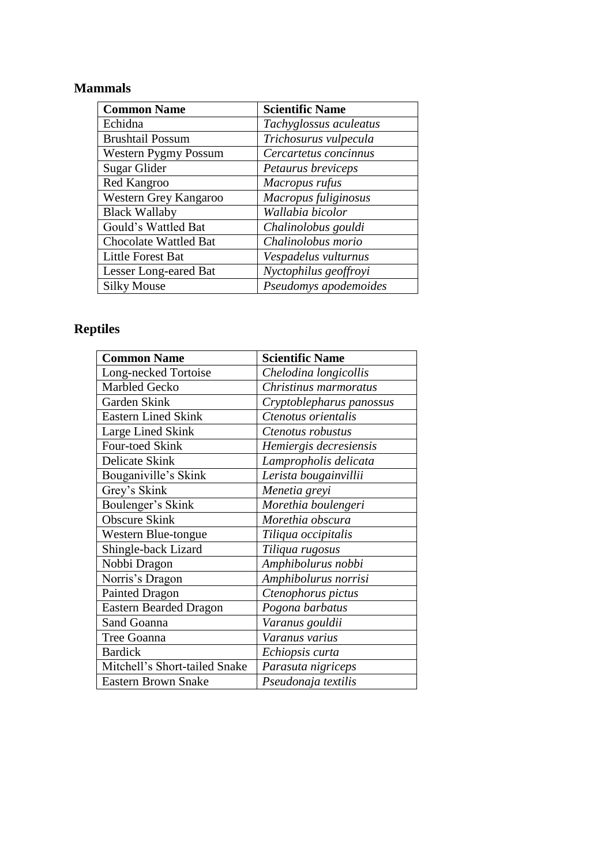## **Mammals**

| <b>Common Name</b>           | <b>Scientific Name</b> |
|------------------------------|------------------------|
| Echidna                      | Tachyglossus aculeatus |
| <b>Brushtail Possum</b>      | Trichosurus vulpecula  |
| <b>Western Pygmy Possum</b>  | Cercartetus concinnus  |
| Sugar Glider                 | Petaurus breviceps     |
| Red Kangroo                  | Macropus rufus         |
| Western Grey Kangaroo        | Macropus fuliginosus   |
| <b>Black Wallaby</b>         | Wallabia bicolor       |
| Gould's Wattled Bat          | Chalinolobus gouldi    |
| Chocolate Wattled Bat        | Chalinolobus morio     |
| Little Forest Bat            | Vespadelus vulturnus   |
| <b>Lesser Long-eared Bat</b> | Nyctophilus geoffroyi  |
| <b>Silky Mouse</b>           | Pseudomys apodemoides  |

## **Reptiles**

| <b>Common Name</b>            | <b>Scientific Name</b>   |
|-------------------------------|--------------------------|
| Long-necked Tortoise          | Chelodina longicollis    |
| <b>Marbled Gecko</b>          | Christinus marmoratus    |
| Garden Skink                  | Cryptoblepharus panossus |
| <b>Eastern Lined Skink</b>    | Ctenotus orientalis      |
| Large Lined Skink             | Ctenotus robustus        |
| Four-toed Skink               | Hemiergis decresiensis   |
| Delicate Skink                | Lampropholis delicata    |
| Bouganiville's Skink          | Lerista bougainvillii    |
| Grey's Skink                  | Menetia greyi            |
| Boulenger's Skink             | Morethia boulengeri      |
| <b>Obscure Skink</b>          | Morethia obscura         |
| Western Blue-tongue           | Tiliqua occipitalis      |
| Shingle-back Lizard           | Tiliqua rugosus          |
| Nobbi Dragon                  | Amphibolurus nobbi       |
| Norris's Dragon               | Amphibolurus norrisi     |
| <b>Painted Dragon</b>         | Ctenophorus pictus       |
| <b>Eastern Bearded Dragon</b> | Pogona barbatus          |
| Sand Goanna                   | Varanus gouldii          |
| Tree Goanna                   | Varanus varius           |
| <b>Bardick</b>                | Echiopsis curta          |
| Mitchell's Short-tailed Snake | Parasuta nigriceps       |
| <b>Eastern Brown Snake</b>    | Pseudonaja textilis      |